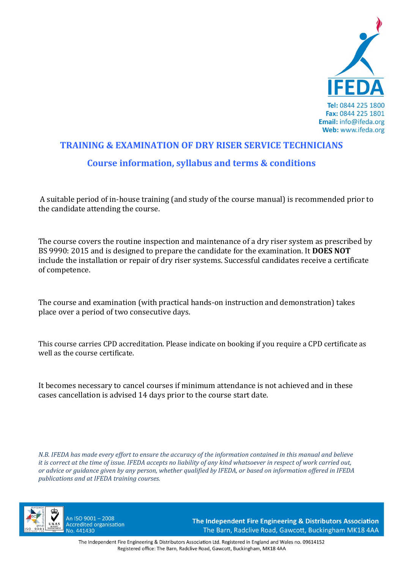

# **TRAINING & EXAMINATION OF DRY RISER SERVICE TECHNICIANS Course information, syllabus and terms & conditions**

A suitable period of in‐house training (and study of the course manual) is recommended prior to the candidate attending the course.

The course covers the routine inspection and maintenance of a dry riser system as prescribed by BS 9990: 2015 and is designed to prepare the candidate for the examination. It **DOES NOT** include the installation or repair of dry riser systems. Successful candidates receive a certificate of competence.

The course and examination (with practical hands‐on instruction and demonstration) takes place over a period of two consecutive days.

This course carries CPD accreditation. Please indicate on booking if you require a CPD certificate as well as the course certificate.

It becomes necessary to cancel courses if minimum attendance is not achieved and in these cases cancellation is advised 14 days prior to the course start date.

*N.B. IFEDA has made every effort to ensure the accuracy of the information contained in this manual and believe it is correct at the time of issue. IFEDA accepts no liability of any kind whatsoever in respect of work carried out, or advice or guidance given by any person, whether qualified by IFEDA, or based on information offered in IFEDA publications and at IFEDA training courses.* 



An ISO 9001-2008 **Accredited organisation** No. 441430

The Independent Fire Engineering & Distributors Association The Barn, Radclive Road, Gawcott, Buckingham MK18 4AA

The Independent Fire Engineering & Distributors Association Ltd. Registered in England and Wales no. 09614152 Registered office: The Barn, Radclive Road, Gawcott, Buckingham, MK18 4AA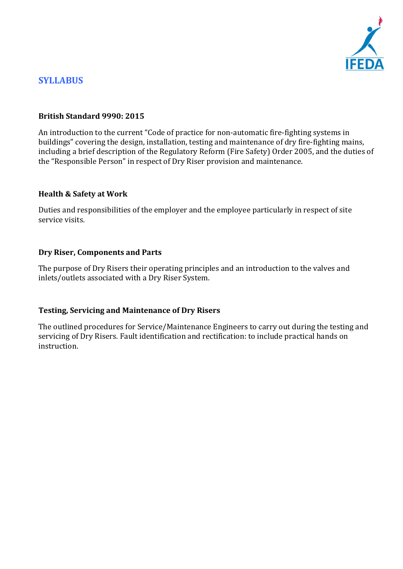

# **SYLLABUS**

### **British Standard 9990: 2015**

An introduction to the current "Code of practice for non-automatic fire-fighting systems in buildings" covering the design, installation, testing and maintenance of dry fire‐fighting mains, including a brief description of the Regulatory Reform (Fire Safety) Order 2005, and the duties of the "Responsible Person" in respect of Dry Riser provision and maintenance.

### **Health & Safety at Work**

Duties and responsibilities of the employer and the employee particularly in respect of site service visits.

### **Dry Riser, Components and Parts**

The purpose of Dry Risers their operating principles and an introduction to the valves and inlets/outlets associated with a Dry Riser System.

### **Testing, Servicing and Maintenance of Dry Risers**

The outlined procedures for Service/Maintenance Engineers to carry out during the testing and servicing of Dry Risers. Fault identification and rectification: to include practical hands on instruction.